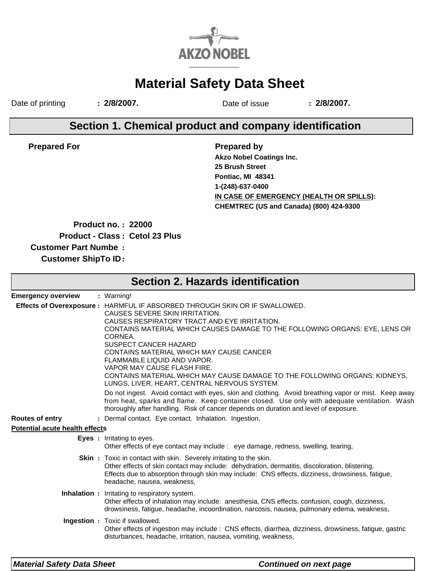

# **Material Safety Data Sheet**

Date of printing **: 2/8/2007.** Date of issue **: 2/8/2007.**

### **Section 1. Chemical product and company identification**

**Prepared For**

**Prepared by IN CASE OF EMERGENCY (HEALTH OR SPILLS): Akzo Nobel Coatings Inc. CHEMTREC (US and Canada) (800) 424-9300 25 Brush Street Pontiac, MI 48341 1-(248)-637-0400**

**Product no. : 22000**

**Product - Class : Cetol 23 Plus**

**Customer Part Numbe :**

**Customer ShipTo ID:**

| <b>Section 2. Hazards identification</b> |                                                                                                                                                                                                                                                                                                                                                                                                                                                                                                                          |  |  |  |  |  |
|------------------------------------------|--------------------------------------------------------------------------------------------------------------------------------------------------------------------------------------------------------------------------------------------------------------------------------------------------------------------------------------------------------------------------------------------------------------------------------------------------------------------------------------------------------------------------|--|--|--|--|--|
| <b>Emergency overview</b>                | : Warning!                                                                                                                                                                                                                                                                                                                                                                                                                                                                                                               |  |  |  |  |  |
|                                          | Effects of Overexposure : HARMFUL IF ABSORBED THROUGH SKIN OR IF SWALLOWED.<br>CAUSES SEVERE SKIN IRRITATION.<br>CAUSES RESPIRATORY TRACT AND EYE IRRITATION.<br>CONTAINS MATERIAL WHICH CAUSES DAMAGE TO THE FOLLOWING ORGANS: EYE, LENS OR<br>CORNEA.<br>SUSPECT CANCER HAZARD<br>CONTAINS MATERIAL WHICH MAY CAUSE CANCER<br>FLAMMABLE LIQUID AND VAPOR.<br>VAPOR MAY CAUSE FLASH FIRE.<br>CONTAINS MATERIAL WHICH MAY CAUSE DAMAGE TO THE FOLLOWING ORGANS: KIDNEYS.<br>LUNGS, LIVER, HEART, CENTRAL NERVOUS SYSTEM. |  |  |  |  |  |
|                                          | Do not ingest. Avoid contact with eyes, skin and clothing. Avoid breathing vapor or mist. Keep away<br>from heat, sparks and flame. Keep container closed. Use only with adequate ventilation. Wash<br>thoroughly after handling. Risk of cancer depends on duration and level of exposure.                                                                                                                                                                                                                              |  |  |  |  |  |
| <b>Routes of entry</b>                   | : Dermal contact. Eye contact. Inhalation. Ingestion.                                                                                                                                                                                                                                                                                                                                                                                                                                                                    |  |  |  |  |  |
| <b>Potential acute health effects</b>    |                                                                                                                                                                                                                                                                                                                                                                                                                                                                                                                          |  |  |  |  |  |
|                                          | <b>Eyes</b> : Irritating to eyes.<br>Other effects of eye contact may include : eye damage, redness, swelling, tearing,                                                                                                                                                                                                                                                                                                                                                                                                  |  |  |  |  |  |
|                                          | <b>Skin</b> : Toxic in contact with skin. Severely irritating to the skin.<br>Other effects of skin contact may include: dehydration, dermatitis, discoloration, blistering,<br>Effects due to absorption through skin may include: CNS effects, dizziness, drowsiness, fatigue,<br>headache, nausea, weakness,                                                                                                                                                                                                          |  |  |  |  |  |
|                                          | <b>Inhalation</b> : Irritating to respiratory system.<br>Other effects of inhalation may include: anesthesia, CNS effects, confusion, cough, dizziness,<br>drowsiness, fatigue, headache, incoordination, narcosis, nausea, pulmonary edema, weakness,                                                                                                                                                                                                                                                                   |  |  |  |  |  |
|                                          | Ingestion : Toxic if swallowed.<br>Other effects of ingestion may include : CNS effects, diarrhea, dizziness, drowsiness, fatigue, gastric<br>disturbances, headache, irritation, nausea, vomiting, weakness,                                                                                                                                                                                                                                                                                                            |  |  |  |  |  |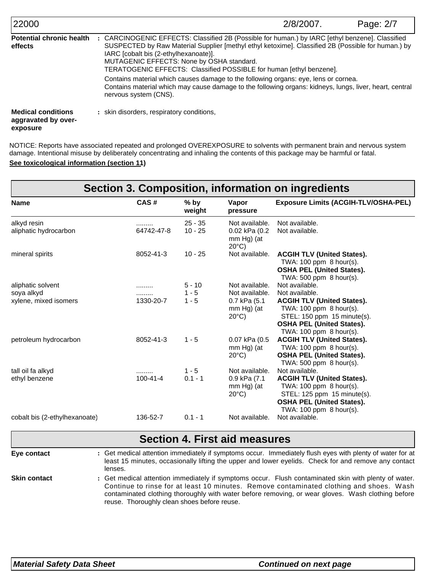| 22000                                                        |                                                                                                                                                                                                                                                                                                                                                                  | 2/8/2007. | Page: 2/7 |
|--------------------------------------------------------------|------------------------------------------------------------------------------------------------------------------------------------------------------------------------------------------------------------------------------------------------------------------------------------------------------------------------------------------------------------------|-----------|-----------|
| <b>Potential chronic health</b><br>effects                   | CARCINOGENIC EFFECTS: Classified 2B (Possible for human.) by IARC [ethyl benzene]. Classified<br>SUSPECTED by Raw Material Supplier [methyl ethyl ketoxime]. Classified 2B (Possible for human.) by<br>IARC [cobalt bis (2-ethylhexanoate)].<br>MUTAGENIC EFFECTS: None by OSHA standard.<br>TERATOGENIC EFFECTS: Classified POSSIBLE for human [ethyl benzene]. |           |           |
|                                                              | Contains material which causes damage to the following organs: eye, lens or cornea.<br>Contains material which may cause damage to the following organs: kidneys, lungs, liver, heart, central<br>nervous system (CNS).                                                                                                                                          |           |           |
| <b>Medical conditions</b><br>aggravated by over-<br>exposure | : skin disorders, respiratory conditions,                                                                                                                                                                                                                                                                                                                        |           |           |

**See toxicological information (section 11)** NOTICE: Reports have associated repeated and prolonged OVEREXPOSURE to solvents with permanent brain and nervous system damage. Intentional misuse by deliberately concentrating and inhaling the contents of this package may be harmful or fatal.

| Section 3. Composition, information on ingredients |                |                        |                                                                  |                                                                                                                                                                |  |  |
|----------------------------------------------------|----------------|------------------------|------------------------------------------------------------------|----------------------------------------------------------------------------------------------------------------------------------------------------------------|--|--|
| <b>Name</b>                                        | CAS#           | $%$ by<br>weight       | Vapor<br>pressure                                                | <b>Exposure Limits (ACGIH-TLV/OSHA-PEL)</b>                                                                                                                    |  |  |
| alkyd resin<br>aliphatic hydrocarbon               | <br>64742-47-8 | $25 - 35$<br>$10 - 25$ | Not available.<br>0.02 kPa (0.2<br>mm Hg) (at<br>$20^{\circ}$ C) | Not available.<br>Not available.                                                                                                                               |  |  |
| mineral spirits                                    | 8052-41-3      | $10 - 25$              | Not available.                                                   | <b>ACGIH TLV (United States).</b><br>TWA: $100$ ppm $8$ hour(s).<br><b>OSHA PEL (United States).</b><br>TWA: $500$ ppm $8$ hour(s).                            |  |  |
| aliphatic solvent                                  | .              | $5 - 10$               | Not available.                                                   | Not available.                                                                                                                                                 |  |  |
| soya alkyd                                         | .              | $1 - 5$                | Not available.                                                   | Not available.                                                                                                                                                 |  |  |
| xylene, mixed isomers                              | 1330-20-7      | $1 - 5$                | 0.7 kPa (5.1<br>mm Hg) (at<br>$20^{\circ}$ C)                    | <b>ACGIH TLV (United States).</b><br>TWA: 100 ppm 8 hour(s).<br>STEL: 150 ppm 15 minute(s).<br><b>OSHA PEL (United States).</b><br>TWA: 100 ppm 8 hour(s).     |  |  |
| petroleum hydrocarbon                              | 8052-41-3      | $1 - 5$                | 0.07 kPa (0.5<br>mm Hg) (at<br>$20^{\circ}$ C)                   | <b>ACGIH TLV (United States).</b><br>TWA: 100 ppm 8 hour(s).<br><b>OSHA PEL (United States).</b><br>TWA: $500$ ppm $8$ hour(s).                                |  |  |
| tall oil fa alkyd                                  | .              | $1 - 5$                | Not available.                                                   | Not available.                                                                                                                                                 |  |  |
| ethyl benzene                                      | $100 - 41 - 4$ | $0.1 - 1$              | 0.9 kPa (7.1)<br>$mm Hg$ ) (at<br>$20^{\circ}$ C)                | <b>ACGIH TLV (United States).</b><br>TWA: $100$ ppm $8$ hour(s).<br>STEL: 125 ppm 15 minute(s).<br><b>OSHA PEL (United States).</b><br>TWA: 100 ppm 8 hour(s). |  |  |
| cobalt bis (2-ethylhexanoate)                      | 136-52-7       | $0.1 - 1$              | Not available.                                                   | Not available.                                                                                                                                                 |  |  |

## **Section 4. First aid measures**

**Eye contact**

Get medical attention immediately if symptoms occur. Immediately flush eyes with plenty of water for at **:** least 15 minutes, occasionally lifting the upper and lower eyelids. Check for and remove any contact lenses.

**Skin contact**

Get medical attention immediately if symptoms occur. Flush contaminated skin with plenty of water. **:** Continue to rinse for at least 10 minutes. Remove contaminated clothing and shoes. Wash contaminated clothing thoroughly with water before removing, or wear gloves. Wash clothing before reuse. Thoroughly clean shoes before reuse.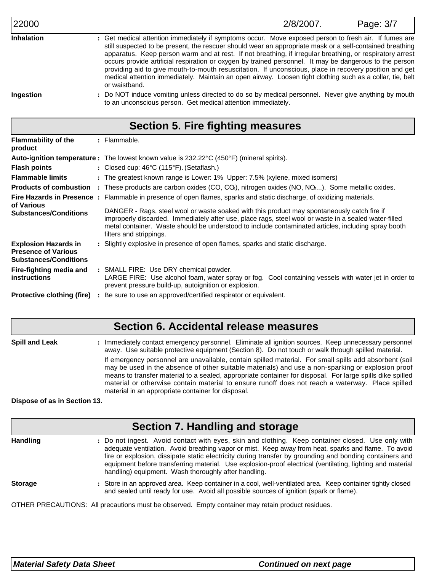| Γ | I. |  |
|---|----|--|
|   |    |  |

Get medical attention immediately if symptoms occur. Move exposed person to fresh air. If fumes are **:** still suspected to be present, the rescuer should wear an appropriate mask or a self-contained breathing apparatus. Keep person warm and at rest. If not breathing, if irregular breathing, or respiratory arrest occurs provide artificial respiration or oxygen by trained personnel. It may be dangerous to the person providing aid to give mouth-to-mouth resuscitation. If unconscious, place in recovery position and get medical attention immediately. Maintain an open airway. Loosen tight clothing such as a collar, tie, belt or waistband. **Inhalation**

**Ingestion**

Do NOT induce vomiting unless directed to do so by medical personnel. Never give anything by mouth **:** to an unconscious person. Get medical attention immediately.

## **Section 5. Fire fighting measures**

| <b>Flammability of the</b><br>product                                                     | : Flammable.                                                                                                                                                                                                                                                                                                                           |
|-------------------------------------------------------------------------------------------|----------------------------------------------------------------------------------------------------------------------------------------------------------------------------------------------------------------------------------------------------------------------------------------------------------------------------------------|
|                                                                                           | <b>Auto-ignition temperature :</b> The lowest known value is 232.22°C (450°F) (mineral spirits).                                                                                                                                                                                                                                       |
| <b>Flash points</b>                                                                       | : Closed cup: $46^{\circ}$ C (115 $^{\circ}$ F). (Setaflash.)                                                                                                                                                                                                                                                                          |
| <b>Flammable limits</b>                                                                   | : The greatest known range is Lower: 1% Upper: 7.5% (xylene, mixed isomers)                                                                                                                                                                                                                                                            |
| <b>Products of combustion</b>                                                             | : These products are carbon oxides (CO, CO), nitrogen oxides (NO, NO $_2$ ). Some metallic oxides.                                                                                                                                                                                                                                     |
|                                                                                           | Fire Hazards in Presence : Flammable in presence of open flames, sparks and static discharge, of oxidizing materials.                                                                                                                                                                                                                  |
| of Various<br><b>Substances/Conditions</b>                                                | DANGER - Rags, steel wool or waste soaked with this product may spontaneously catch fire if<br>improperly discarded. Immediately after use, place rags, steel wool or waste in a sealed water-filled<br>metal container. Waste should be understood to include contaminated articles, including spray booth<br>filters and strippings. |
| <b>Explosion Hazards in</b><br><b>Presence of Various</b><br><b>Substances/Conditions</b> | : Slightly explosive in presence of open flames, sparks and static discharge.                                                                                                                                                                                                                                                          |
| Fire-fighting media and<br><b>instructions</b>                                            | : SMALL FIRE: Use DRY chemical powder.<br>LARGE FIRE: Use alcohol foam, water spray or fog. Cool containing vessels with water jet in order to<br>prevent pressure build-up, autoignition or explosion.                                                                                                                                |
| <b>Protective clothing (fire)</b>                                                         | : Be sure to use an approved/certified respirator or equivalent.                                                                                                                                                                                                                                                                       |

### **Section 6. Accidental release measures**

**Spill and Leak :** : Immediately contact emergency personnel. Eliminate all ignition sources. Keep unnecessary personnel away. Use suitable protective equipment (Section 8). Do not touch or walk through spilled material. If emergency personnel are unavailable, contain spilled material. For small spills add absorbent (soil may be used in the absence of other suitable materials) and use a non-sparking or explosion proof means to transfer material to a sealed, appropriate container for disposal. For large spills dike spilled material or otherwise contain material to ensure runoff does not reach a waterway. Place spilled material in an appropriate container for disposal.

#### **Dispose of as in Section 13.**

| Section 7. Handling and storage |                                                                                                                                                                                                                                                                                                                                                                                                                                                                                            |  |  |  |  |  |
|---------------------------------|--------------------------------------------------------------------------------------------------------------------------------------------------------------------------------------------------------------------------------------------------------------------------------------------------------------------------------------------------------------------------------------------------------------------------------------------------------------------------------------------|--|--|--|--|--|
| <b>Handling</b>                 | : Do not ingest. Avoid contact with eyes, skin and clothing. Keep container closed. Use only with<br>adequate ventilation. Avoid breathing vapor or mist. Keep away from heat, sparks and flame. To avoid<br>fire or explosion, dissipate static electricity during transfer by grounding and bonding containers and<br>equipment before transferring material. Use explosion-proof electrical (ventilating, lighting and material<br>handling) equipment. Wash thoroughly after handling. |  |  |  |  |  |
| <b>Storage</b>                  | : Store in an approved area. Keep container in a cool, well-ventilated area. Keep container tightly closed<br>and sealed until ready for use. Avoid all possible sources of ignition (spark or flame).                                                                                                                                                                                                                                                                                     |  |  |  |  |  |
|                                 | OTHER PRECAUTIONS: All precautions must be observed. Empty container may retain product residues.                                                                                                                                                                                                                                                                                                                                                                                          |  |  |  |  |  |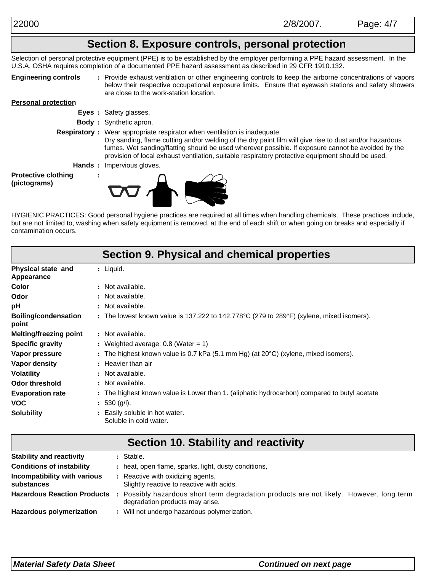## **Section 8. Exposure controls, personal protection**

Selection of personal protective equipment (PPE) is to be established by the employer performing a PPE hazard assessment. In the U.S.A, OSHA requires completion of a documented PPE hazard assessment as described in 29 CFR 1910.132.

**Engineering controls**

Provide exhaust ventilation or other engineering controls to keep the airborne concentrations of vapors **:** below their respective occupational exposure limits. Ensure that eyewash stations and safety showers are close to the work-station location.

#### **Personal protection**

- **Eyes :** Safety glasses.
- **Body :** Synthetic apron.
- **Respiratory :** Wear appropriate respirator when ventilation is inadequate. Dry sanding, flame cutting and/or welding of the dry paint film will give rise to dust and/or hazardous fumes. Wet sanding/flatting should be used wherever possible. If exposure cannot be avoided by the provision of local exhaust ventilation, suitable respiratory protective equipment should be used.
	- **Hands :** Impervious gloves.

**:**

**Protective clothing (pictograms)**



HYGIENIC PRACTICES: Good personal hygiene practices are required at all times when handling chemicals. These practices include, but are not limited to, washing when safety equipment is removed, at the end of each shift or when going on breaks and especially if contamination occurs.

|                                         | <b>Section 9. Physical and chemical properties</b>                                            |
|-----------------------------------------|-----------------------------------------------------------------------------------------------|
| Physical state and<br><b>Appearance</b> | : Liquid.                                                                                     |
| Color                                   | : Not available.                                                                              |
| Odor                                    | : Not available.                                                                              |
| рH                                      | : Not available.                                                                              |
| <b>Boiling/condensation</b><br>point    | : The lowest known value is 137.222 to 142.778°C (279 to 289°F) (xylene, mixed isomers).      |
| <b>Melting/freezing point</b>           | : Not available.                                                                              |
| <b>Specific gravity</b>                 | : Weighted average: $0.8$ (Water = 1)                                                         |
| Vapor pressure                          | : The highest known value is 0.7 kPa (5.1 mm Hg) (at $20^{\circ}$ C) (xylene, mixed isomers). |
| Vapor density                           | : Heavier than air                                                                            |
| Volatility                              | : Not available.                                                                              |
| <b>Odor threshold</b>                   | : Not available.                                                                              |
| <b>Evaporation rate</b>                 | : The highest known value is Lower than 1. (aliphatic hydrocarbon) compared to butyl acetate  |
| <b>VOC</b>                              | : 530 (g/l).                                                                                  |
| <b>Solubility</b>                       | : Easily soluble in hot water.<br>Soluble in cold water.                                      |

| Section 10. Stability and reactivity       |  |                                                                                                                          |  |  |  |  |
|--------------------------------------------|--|--------------------------------------------------------------------------------------------------------------------------|--|--|--|--|
| <b>Stability and reactivity</b>            |  | : Stable.                                                                                                                |  |  |  |  |
| <b>Conditions of instability</b>           |  | : heat, open flame, sparks, light, dusty conditions,                                                                     |  |  |  |  |
| Incompatibility with various<br>substances |  | : Reactive with oxidizing agents.<br>Slightly reactive to reactive with acids.                                           |  |  |  |  |
| <b>Hazardous Reaction Products</b>         |  | Possibly hazardous short term degradation products are not likely. However, long term<br>degradation products may arise. |  |  |  |  |
| <b>Hazardous polymerization</b>            |  | : Will not undergo hazardous polymerization.                                                                             |  |  |  |  |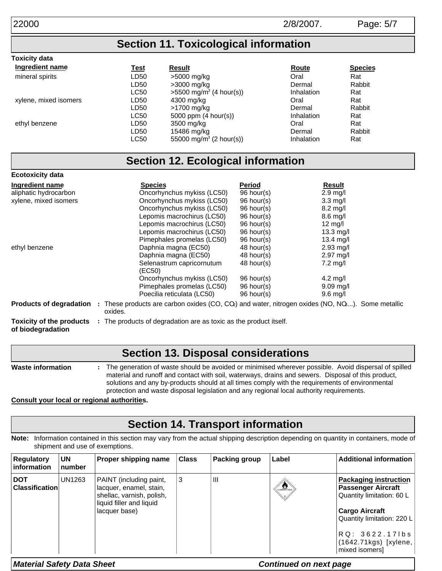**Toxicity data**

### **Section 11. Toxicological information**

| Ingredient name       | <u>Test</u> | <b>Result</b>                       | <u>Route</u>      | <b>Species</b> |
|-----------------------|-------------|-------------------------------------|-------------------|----------------|
| mineral spirits       | LD50        | >5000 mg/kg                         | Oral              | Rat            |
|                       | LD50        | >3000 mg/kg                         | Dermal            | Rabbit         |
|                       | <b>LC50</b> | $>5500 \text{ mg/m}^3$ (4 hour(s))  | <b>Inhalation</b> | Rat            |
| xylene, mixed isomers | LD50        | 4300 mg/kg                          | Oral              | Rat            |
|                       | LD50        | >1700 mg/kg                         | Dermal            | Rabbit         |
|                       | <b>LC50</b> | 5000 ppm $(4 \text{ hour(s)})$      | <b>Inhalation</b> | Rat            |
| ethyl benzene         | LD50        | 3500 mg/kg                          | Oral              | Rat            |
|                       | LD50        | 15486 mg/kg                         | Dermal            | Rabbit         |
|                       | <b>LC50</b> | 55000 mg/m <sup>3</sup> (2 hour(s)) | Inhalation        | Rat            |

## **Section 12. Ecological information**

| <b>Ecotoxicity data</b>         |                                                                                                                                          |               |                        |
|---------------------------------|------------------------------------------------------------------------------------------------------------------------------------------|---------------|------------------------|
| Ingredient name                 | <b>Species</b>                                                                                                                           | <b>Period</b> | <b>Result</b>          |
| aliphatic hydrocarbon           | Oncorhynchus mykiss (LC50)                                                                                                               | 96 hour(s)    | $2.9$ mg/l             |
| xylene, mixed isomers           | Oncorhynchus mykiss (LC50)                                                                                                               | 96 hour(s)    | $3.3 \text{ mq/l}$     |
|                                 | Oncorhynchus mykiss (LC50)                                                                                                               | 96 hour(s)    | $8.2 \text{ mg/l}$     |
|                                 | Lepomis macrochirus (LC50)                                                                                                               | 96 hour(s)    | $8.6 \text{ mq/l}$     |
|                                 | Lepomis macrochirus (LC50)                                                                                                               | 96 hour(s)    | 12 mg/l                |
|                                 | Lepomis macrochirus (LC50)                                                                                                               | 96 hour(s)    | $13.3 \text{ mg/l}$    |
|                                 | Pimephales promelas (LC50)                                                                                                               | 96 hour(s)    | 13.4 $mg/l$            |
| ethyl benzene                   | Daphnia magna (EC50)                                                                                                                     | $48$ hour(s)  | $2.93$ mg/l            |
|                                 | Daphnia magna (EC50)                                                                                                                     | 48 hour(s)    | $2.97 \text{ mg/l}$    |
|                                 | Selenastrum capricornutum<br>(EC50)                                                                                                      | 48 hour(s)    | $7.2 \text{ mq/l}$     |
|                                 | Oncorhynchus mykiss (LC50)                                                                                                               | 96 hour(s)    | $4.2 \text{ mq/l}$     |
|                                 | Pimephales promelas (LC50)                                                                                                               | 96 hour(s)    | $9.09 \,\mathrm{mag/}$ |
|                                 | Poecilia reticulata (LC50)                                                                                                               | 96 hour(s)    | $9.6$ mg/l             |
|                                 | <b>Products of degradation</b> : These products are carbon oxides (CO, CQ) and water, nitrogen oxides (NO, NQ). Some metallic<br>oxides. |               |                        |
| <b>Toxicity of the products</b> | : The products of degradation are as toxic as the product itself.                                                                        |               |                        |

**of biodegradation**

### **Section 13. Disposal considerations**

**Waste information :** The generation of waste should be avoided or minimised wherever possible. Avoid dispersal of spilled material and runoff and contact with soil, waterways, drains and sewers. Disposal of this product, solutions and any by-products should at all times comply with the requirements of environmental protection and waste disposal legislation and any regional local authority requirements.

**Consult your local or regional authorities.**

## **Section 14. Transport information**

**Note:** Information contained in this section may vary from the actual shipping description depending on quantity in containers, mode of shipment and use of exemptions.

| <b>Regulatory</b><br><b>linformation</b> | <b>UN</b><br>number | Proper shipping name                                                                                                         | <b>Class</b> | Packing group | Label                          | <b>Additional information</b>                                                                                                                                                                                |
|------------------------------------------|---------------------|------------------------------------------------------------------------------------------------------------------------------|--------------|---------------|--------------------------------|--------------------------------------------------------------------------------------------------------------------------------------------------------------------------------------------------------------|
| <b>DOT</b><br><b>Classification</b>      | <b>UN1263</b>       | PAINT (including paint,<br>lacquer, enamel, stain,<br>shellac, varnish, polish,<br>liquid filler and liquid<br>lacquer base) | 3            | Ш             | $\left(\frac{1}{2}\right)^{2}$ | <b>Packaging instruction</b><br><b>Passenger Aircraft</b><br>Quantity limitation: 60 L<br><b>Cargo Aircraft</b><br>Quantity limitation: 220 L<br>RQ: 3622.171bs<br>(1642.71kgs) [xylene,  <br>mixed isomers] |

*Material Safety Data Sheet Continued on next page*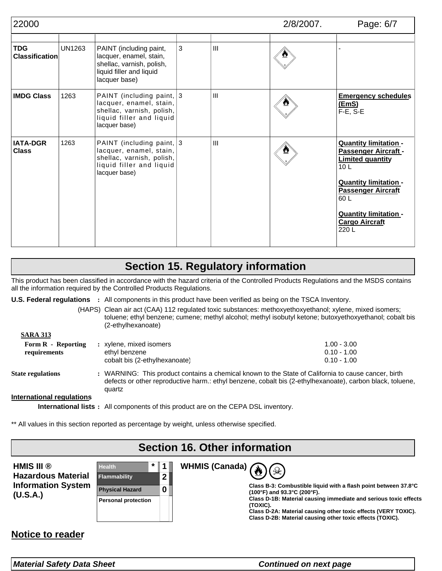| 22000                               |               |                                                                                                                                | $2/8/2007$ . | Page: 6/7      |  |                                                                                                                                                                                                                                          |
|-------------------------------------|---------------|--------------------------------------------------------------------------------------------------------------------------------|--------------|----------------|--|------------------------------------------------------------------------------------------------------------------------------------------------------------------------------------------------------------------------------------------|
| <b>TDG</b><br><b>Classification</b> | <b>UN1263</b> | PAINT (including paint,<br>lacquer, enamel, stain,<br>shellac, varnish, polish,<br>liquid filler and liquid<br>lacquer base)   | 3            | III            |  |                                                                                                                                                                                                                                          |
| <b>IMDG Class</b>                   | 1263          | PAINT (including paint, 3<br>lacquer, enamel, stain,<br>shellac, varnish, polish,<br>liquid filler and liquid<br>lacquer base) |              | $\mathbf{III}$ |  | <b>Emergency schedules</b><br>(EmS)<br>$F-E$ , $S-E$                                                                                                                                                                                     |
| <b>IATA-DGR</b><br><b>Class</b>     | 1263          | PAINT (including paint, 3<br>lacquer, enamel, stain,<br>shellac, varnish, polish,<br>liquid filler and liquid<br>lacquer base) |              | $\mathbf{III}$ |  | <b>Quantity limitation -</b><br>Passenger Aircraft -<br><b>Limited quantity</b><br>10 <sub>L</sub><br><b>Quantity limitation -</b><br><b>Passenger Aircraft</b><br>60 L<br><b>Quantity limitation -</b><br><b>Cargo Aircraft</b><br>220L |

## **Section 15. Regulatory information**

This product has been classified in accordance with the hazard criteria of the Controlled Products Regulations and the MSDS contains all the information required by the Controlled Products Regulations.

**U.S. Federal regulations** : All components in this product have been verified as being on the TSCA Inventory.

Clean air act (CAA) 112 regulated toxic substances: methoxyethoxyethanol; xylene, mixed isomers; (HAPS) toluene; ethyl benzene; cumene; methyl alcohol; methyl isobutyl ketone; butoxyethoxyethanol; cobalt bis (2-ethylhexanoate)

| $1.00 - 3.00$<br>$0.10 - 1.00$<br>$0.10 - 1.00$ |
|-------------------------------------------------|
|                                                 |

**State regulations :** WARNING: This product contains a chemical known to the State of California to cause cancer, birth defects or other reproductive harm.: ethyl benzene, cobalt bis (2-ethylhexanoate), carbon black, toluene, quartz

#### **International regulations**

**SARA 313**

**International lists:** All components of this product are on the CEPA DSL inventory.

\*\* All values in this section reported as percentage by weight, unless otherwise specified.

## **Section 16. Other information**

**WHMIS (Canada)**

| HMIS III ®                |
|---------------------------|
| Hazardous Material        |
| <b>Information System</b> |
| (U.S.A.)                  |





♧

**Class D-1B: Material causing immediate and serious toxic effects (TOXIC).**

**Class D-2A: Material causing other toxic effects (VERY TOXIC). Class D-2B: Material causing other toxic effects (TOXIC).**

#### **Notice to reader**

*Material Safety Data Sheet Continued on next page*